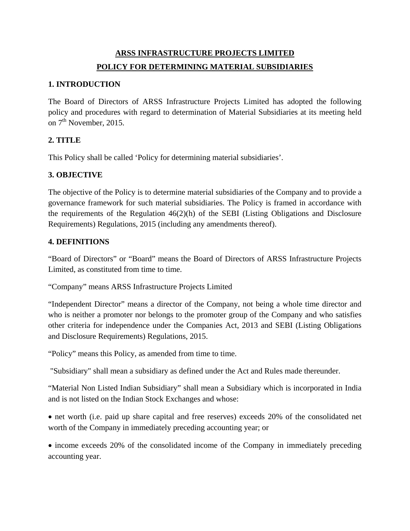# **ARSS INFRASTRUCTURE PROJECTS LIMITED POLICY FOR DETERMINING MATERIAL SUBSIDIARIES**

#### **1. INTRODUCTION**

The Board of Directors of ARSS Infrastructure Projects Limited has adopted the following policy and procedures with regard to determination of Material Subsidiaries at its meeting held on  $7<sup>th</sup>$  November, 2015.

## **2. TITLE**

This Policy shall be called 'Policy for determining material subsidiaries'.

## **3. OBJECTIVE**

The objective of the Policy is to determine material subsidiaries of the Company and to provide a governance framework for such material subsidiaries. The Policy is framed in accordance with the requirements of the Regulation 46(2)(h) of the SEBI (Listing Obligations and Disclosure Requirements) Regulations, 2015 (including any amendments thereof).

#### **4. DEFINITIONS**

"Board of Directors" or "Board" means the Board of Directors of ARSS Infrastructure Projects Limited, as constituted from time to time.

"Company" means ARSS Infrastructure Projects Limited

"Independent Director" means a director of the Company, not being a whole time director and who is neither a promoter nor belongs to the promoter group of the Company and who satisfies other criteria for independence under the Companies Act, 2013 and SEBI (Listing Obligations and Disclosure Requirements) Regulations, 2015.

"Policy" means this Policy, as amended from time to time.

"Subsidiary" shall mean a subsidiary as defined under the Act and Rules made thereunder.

"Material Non Listed Indian Subsidiary" shall mean a Subsidiary which is incorporated in India and is not listed on the Indian Stock Exchanges and whose:

• net worth (i.e. paid up share capital and free reserves) exceeds 20% of the consolidated net worth of the Company in immediately preceding accounting year; or

• income exceeds 20% of the consolidated income of the Company in immediately preceding accounting year.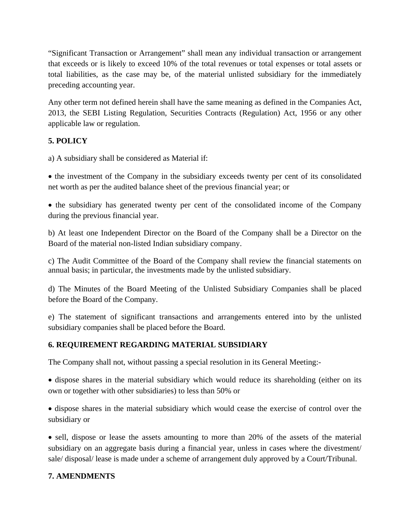"Significant Transaction or Arrangement" shall mean any individual transaction or arrangement that exceeds or is likely to exceed 10% of the total revenues or total expenses or total assets or total liabilities, as the case may be, of the material unlisted subsidiary for the immediately preceding accounting year.

Any other term not defined herein shall have the same meaning as defined in the Companies Act, 2013, the SEBI Listing Regulation, Securities Contracts (Regulation) Act, 1956 or any other applicable law or regulation.

# **5. POLICY**

a) A subsidiary shall be considered as Material if:

• the investment of the Company in the subsidiary exceeds twenty per cent of its consolidated net worth as per the audited balance sheet of the previous financial year; or

• the subsidiary has generated twenty per cent of the consolidated income of the Company during the previous financial year.

b) At least one Independent Director on the Board of the Company shall be a Director on the Board of the material non-listed Indian subsidiary company.

c) The Audit Committee of the Board of the Company shall review the financial statements on annual basis; in particular, the investments made by the unlisted subsidiary.

d) The Minutes of the Board Meeting of the Unlisted Subsidiary Companies shall be placed before the Board of the Company.

e) The statement of significant transactions and arrangements entered into by the unlisted subsidiary companies shall be placed before the Board.

# **6. REQUIREMENT REGARDING MATERIAL SUBSIDIARY**

The Company shall not, without passing a special resolution in its General Meeting:-

• dispose shares in the material subsidiary which would reduce its shareholding (either on its own or together with other subsidiaries) to less than 50% or

• dispose shares in the material subsidiary which would cease the exercise of control over the subsidiary or

• sell, dispose or lease the assets amounting to more than 20% of the assets of the material subsidiary on an aggregate basis during a financial year, unless in cases where the divestment/ sale/ disposal/ lease is made under a scheme of arrangement duly approved by a Court/Tribunal.

# **7. AMENDMENTS**